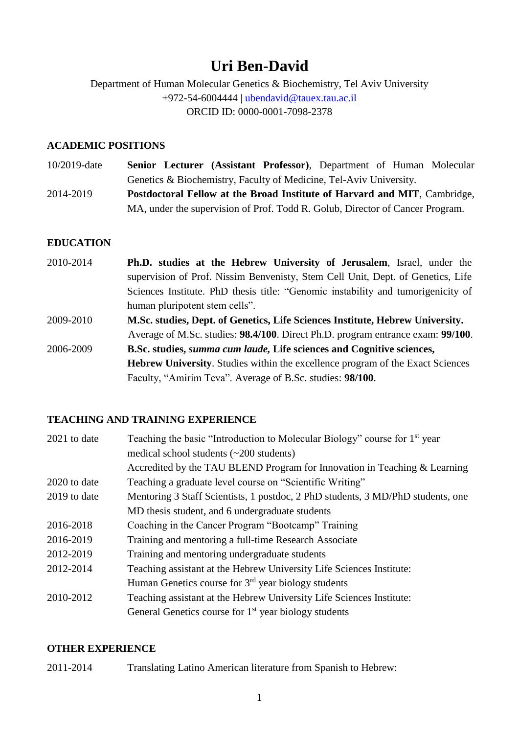# **Uri Ben-David**

Department of Human Molecular Genetics & Biochemistry, Tel Aviv University +972-54-6004444 | [ubendavid@tauex.tau.ac.il](mailto:ubendavid@tauex.tau.ac.il) ORCID ID: 0000-0001-7098-2378

## **ACADEMIC POSITIONS**

10/2019-date **Senior Lecturer (Assistant Professor)**, Department of Human Molecular Genetics & Biochemistry, Faculty of Medicine, Tel-Aviv University. 2014-2019 **Postdoctoral Fellow at the Broad Institute of Harvard and MIT**, Cambridge, MA, under the supervision of Prof. Todd R. Golub, Director of Cancer Program.

## **EDUCATION**

2010-2014 **Ph.D. studies at the Hebrew University of Jerusalem**, Israel, under the supervision of Prof. Nissim Benvenisty, Stem Cell Unit, Dept. of Genetics, Life Sciences Institute. PhD thesis title: "Genomic instability and tumorigenicity of human pluripotent stem cells". 2009-2010 **M.Sc. studies, Dept. of Genetics, Life Sciences Institute, Hebrew University.** Average of M.Sc. studies: **98.4/100**. Direct Ph.D. program entrance exam: **99/100**. 2006-2009 **B.Sc. studies,** *summa cum laude,* **Life sciences and Cognitive sciences, Hebrew University**. Studies within the excellence program of the Exact Sciences

Faculty, "Amirim Teva". Average of B.Sc. studies: **98/100**.

## **TEACHING AND TRAINING EXPERIENCE**

| 2021 to date | Teaching the basic "Introduction to Molecular Biology" course for 1 <sup>st</sup> year |
|--------------|----------------------------------------------------------------------------------------|
|              | medical school students $(\sim 200$ students)                                          |
|              | Accredited by the TAU BLEND Program for Innovation in Teaching & Learning              |
| 2020 to date | Teaching a graduate level course on "Scientific Writing"                               |
| 2019 to date | Mentoring 3 Staff Scientists, 1 postdoc, 2 PhD students, 3 MD/PhD students, one        |
|              | MD thesis student, and 6 undergraduate students                                        |
| 2016-2018    | Coaching in the Cancer Program "Bootcamp" Training                                     |
| 2016-2019    | Training and mentoring a full-time Research Associate                                  |
| 2012-2019    | Training and mentoring undergraduate students                                          |
| 2012-2014    | Teaching assistant at the Hebrew University Life Sciences Institute:                   |
|              | Human Genetics course for $3rd$ year biology students                                  |
| 2010-2012    | Teaching assistant at the Hebrew University Life Sciences Institute:                   |
|              | General Genetics course for $1st$ year biology students                                |

#### **OTHER EXPERIENCE**

2011-2014 Translating Latino American literature from Spanish to Hebrew: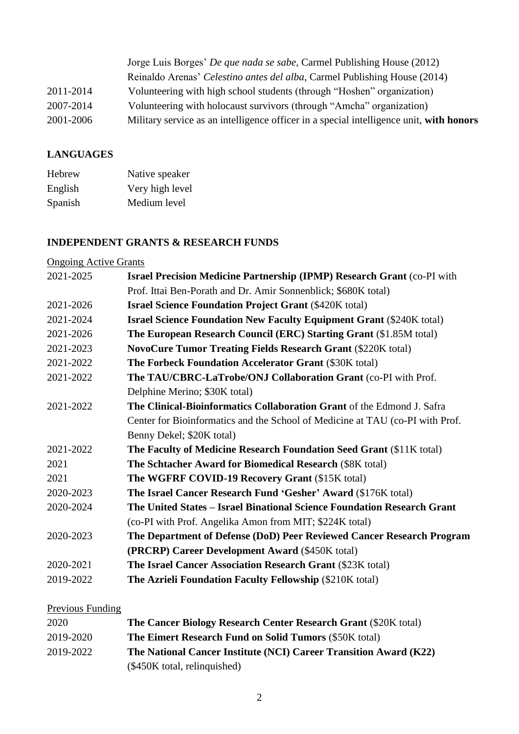|           | Jorge Luis Borges' <i>De que nada se sabe</i> , Carmel Publishing House (2012)          |
|-----------|-----------------------------------------------------------------------------------------|
|           | Reinaldo Arenas' Celestino antes del alba, Carmel Publishing House (2014)               |
| 2011-2014 | Volunteering with high school students (through "Hoshen" organization)                  |
| 2007-2014 | Volunteering with holocaust survivors (through "Amcha" organization)                    |
| 2001-2006 | Military service as an intelligence officer in a special intelligence unit, with honors |

# **LANGUAGES**

| Hebrew  | Native speaker  |
|---------|-----------------|
| English | Very high level |
| Spanish | Medium level    |

# **INDEPENDENT GRANTS & RESEARCH FUNDS**

| <b>Ongoing Active Grants</b> |                                                                                |
|------------------------------|--------------------------------------------------------------------------------|
| 2021-2025                    | <b>Israel Precision Medicine Partnership (IPMP) Research Grant (co-PI with</b> |
|                              | Prof. Ittai Ben-Porath and Dr. Amir Sonnenblick; \$680K total)                 |
| 2021-2026                    | <b>Israel Science Foundation Project Grant (\$420K total)</b>                  |
| 2021-2024                    | <b>Israel Science Foundation New Faculty Equipment Grant (\$240K total)</b>    |
| 2021-2026                    | The European Research Council (ERC) Starting Grant (\$1.85M total)             |
| 2021-2023                    | <b>NovoCure Tumor Treating Fields Research Grant (\$220K total)</b>            |
| 2021-2022                    | The Forbeck Foundation Accelerator Grant (\$30K total)                         |
| 2021-2022                    | The TAU/CBRC-LaTrobe/ONJ Collaboration Grant (co-PI with Prof.                 |
|                              | Delphine Merino; \$30K total)                                                  |
| 2021-2022                    | <b>The Clinical-Bioinformatics Collaboration Grant</b> of the Edmond J. Safra  |
|                              | Center for Bioinformatics and the School of Medicine at TAU (co-PI with Prof.  |
|                              | Benny Dekel; \$20K total)                                                      |
| 2021-2022                    | The Faculty of Medicine Research Foundation Seed Grant (\$11K total)           |
| 2021                         | The Schtacher Award for Biomedical Research (\$8K total)                       |
| 2021                         | The WGFRF COVID-19 Recovery Grant (\$15K total)                                |
| 2020-2023                    | The Israel Cancer Research Fund 'Gesher' Award (\$176K total)                  |
| 2020-2024                    | The United States – Israel Binational Science Foundation Research Grant        |
|                              | (co-PI with Prof. Angelika Amon from MIT; \$224K total)                        |
| 2020-2023                    | The Department of Defense (DoD) Peer Reviewed Cancer Research Program          |
|                              | (PRCRP) Career Development Award (\$450K total)                                |
| 2020-2021                    | The Israel Cancer Association Research Grant (\$23K total)                     |
| 2019-2022                    | <b>The Azrieli Foundation Faculty Fellowship (\$210K total)</b>                |
|                              |                                                                                |

# Previous Funding

| 2020      | The Cancer Biology Research Center Research Grant (\$20K total)   |
|-----------|-------------------------------------------------------------------|
| 2019-2020 | <b>The Eimert Research Fund on Solid Tumors (\$50K total)</b>     |
| 2019-2022 | The National Cancer Institute (NCI) Career Transition Award (K22) |
|           | (\$450K total, relinquished)                                      |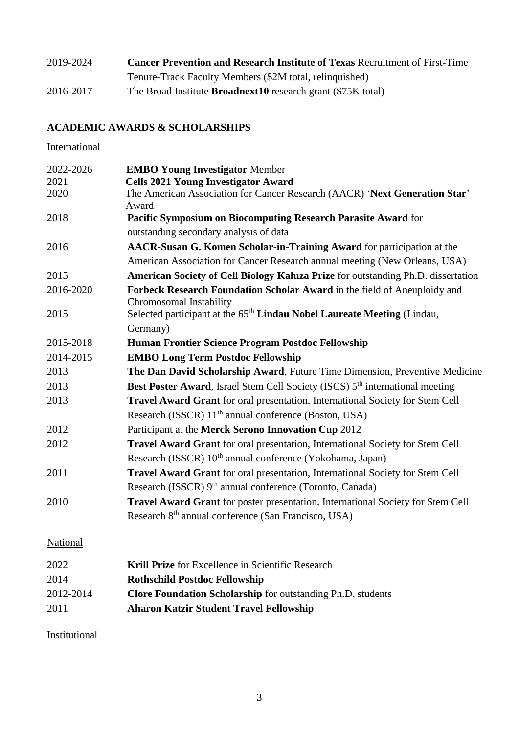| 2019-2024 | <b>Cancer Prevention and Research Institute of Texas Recruitment of First-Time</b> |
|-----------|------------------------------------------------------------------------------------|
|           | Tenure-Track Faculty Members (\$2M total, relinquished)                            |
| 2016-2017 | The Broad Institute <b>Broadnext10</b> research grant (\$75K total)                |

# **ACADEMIC AWARDS & SCHOLARSHIPS**

**International** 

| 2022-2026 | <b>EMBO Young Investigator Member</b>                                                               |
|-----------|-----------------------------------------------------------------------------------------------------|
| 2021      | <b>Cells 2021 Young Investigator Award</b>                                                          |
| 2020      | The American Association for Cancer Research (AACR) 'Next Generation Star'<br>Award                 |
| 2018      | Pacific Symposium on Biocomputing Research Parasite Award for                                       |
|           | outstanding secondary analysis of data                                                              |
| 2016      | AACR-Susan G. Komen Scholar-in-Training Award for participation at the                              |
|           | American Association for Cancer Research annual meeting (New Orleans, USA)                          |
| 2015      | American Society of Cell Biology Kaluza Prize for outstanding Ph.D. dissertation                    |
| 2016-2020 | Forbeck Research Foundation Scholar Award in the field of Aneuploidy and<br>Chromosomal Instability |
| 2015      | Selected participant at the 65 <sup>th</sup> Lindau Nobel Laureate Meeting (Lindau,                 |
|           | Germany)                                                                                            |
| 2015-2018 | Human Frontier Science Program Postdoc Fellowship                                                   |
| 2014-2015 | <b>EMBO Long Term Postdoc Fellowship</b>                                                            |
| 2013      | The Dan David Scholarship Award, Future Time Dimension, Preventive Medicine                         |
| 2013      | Best Poster Award, Israel Stem Cell Society (ISCS) 5 <sup>th</sup> international meeting            |
| 2013      | Travel Award Grant for oral presentation, International Society for Stem Cell                       |
|           | Research (ISSCR) 11 <sup>th</sup> annual conference (Boston, USA)                                   |
| 2012      | Participant at the Merck Serono Innovation Cup 2012                                                 |
| 2012      | Travel Award Grant for oral presentation, International Society for Stem Cell                       |
|           | Research (ISSCR) 10 <sup>th</sup> annual conference (Yokohama, Japan)                               |
| 2011      | Travel Award Grant for oral presentation, International Society for Stem Cell                       |
|           | Research (ISSCR) 9 <sup>th</sup> annual conference (Toronto, Canada)                                |
| 2010      | Travel Award Grant for poster presentation, International Society for Stem Cell                     |
|           | Research 8 <sup>th</sup> annual conference (San Francisco, USA)                                     |
| National  |                                                                                                     |
| 2022      | Krill Prize for Excellence in Scientific Research                                                   |
| 2014      | <b>Rothschild Postdoc Fellowship</b>                                                                |
| 2012-2014 | Clore Foundation Scholarship for outstanding Ph.D. students                                         |
| 0.011     | $\mathbf{r}$ , and $\mathbf{r}$ , and $\mathbf{r}$ , and $\mathbf{r}$                               |

2011 **Aharon Katzir Student Travel Fellowship**

Institutional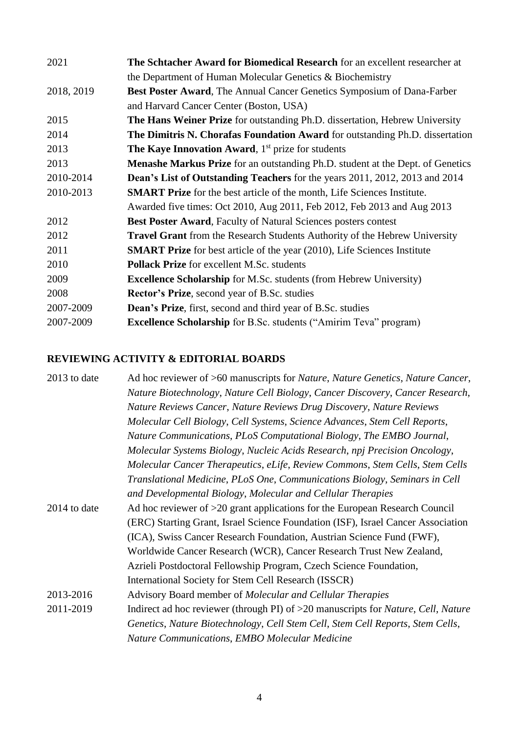| 2021       | The Schtacher Award for Biomedical Research for an excellent researcher at            |
|------------|---------------------------------------------------------------------------------------|
|            | the Department of Human Molecular Genetics & Biochemistry                             |
| 2018, 2019 | Best Poster Award, The Annual Cancer Genetics Symposium of Dana-Farber                |
|            | and Harvard Cancer Center (Boston, USA)                                               |
| 2015       | <b>The Hans Weiner Prize</b> for outstanding Ph.D. dissertation, Hebrew University    |
| 2014       | <b>The Dimitris N. Chorafas Foundation Award</b> for outstanding Ph.D. dissertation   |
| 2013       | <b>The Kaye Innovation Award</b> , $1st$ prize for students                           |
| 2013       | <b>Menashe Markus Prize</b> for an outstanding Ph.D. student at the Dept. of Genetics |
| 2010-2014  | <b>Dean's List of Outstanding Teachers</b> for the years 2011, 2012, 2013 and 2014    |
| 2010-2013  | <b>SMART Prize</b> for the best article of the month, Life Sciences Institute.        |
|            | Awarded five times: Oct 2010, Aug 2011, Feb 2012, Feb 2013 and Aug 2013               |
| 2012       | <b>Best Poster Award, Faculty of Natural Sciences posters contest</b>                 |
| 2012       | <b>Travel Grant</b> from the Research Students Authority of the Hebrew University     |
| 2011       | <b>SMART Prize</b> for best article of the year (2010), Life Sciences Institute       |
| 2010       | <b>Pollack Prize</b> for excellent M.Sc. students                                     |
| 2009       | <b>Excellence Scholarship</b> for M.Sc. students (from Hebrew University)             |
| 2008       | <b>Rector's Prize, second year of B.Sc. studies</b>                                   |
| 2007-2009  | <b>Dean's Prize</b> , first, second and third year of B.Sc. studies                   |
| 2007-2009  | <b>Excellence Scholarship</b> for B.Sc. students ("Amirim Teva" program)              |

## **REVIEWING ACTIVITY & EDITORIAL BOARDS**

| 2013 to date | Ad hoc reviewer of >60 manuscripts for <i>Nature</i> , <i>Nature Genetics</i> , <i>Nature Cancer</i> ,   |
|--------------|----------------------------------------------------------------------------------------------------------|
|              | Nature Biotechnology, Nature Cell Biology, Cancer Discovery, Cancer Research,                            |
|              | Nature Reviews Cancer, Nature Reviews Drug Discovery, Nature Reviews                                     |
|              | Molecular Cell Biology, Cell Systems, Science Advances, Stem Cell Reports,                               |
|              | Nature Communications, PLoS Computational Biology, The EMBO Journal,                                     |
|              | Molecular Systems Biology, Nucleic Acids Research, npj Precision Oncology,                               |
|              | Molecular Cancer Therapeutics, eLife, Review Commons, Stem Cells, Stem Cells                             |
|              | Translational Medicine, PLoS One, Communications Biology, Seminars in Cell                               |
|              | and Developmental Biology, Molecular and Cellular Therapies                                              |
| 2014 to date | Ad hoc reviewer of >20 grant applications for the European Research Council                              |
|              | (ERC) Starting Grant, Israel Science Foundation (ISF), Israel Cancer Association                         |
|              | (ICA), Swiss Cancer Research Foundation, Austrian Science Fund (FWF),                                    |
|              | Worldwide Cancer Research (WCR), Cancer Research Trust New Zealand,                                      |
|              | Azrieli Postdoctoral Fellowship Program, Czech Science Foundation,                                       |
|              | International Society for Stem Cell Research (ISSCR)                                                     |
| 2013-2016    | Advisory Board member of <i>Molecular and Cellular Therapies</i>                                         |
| 2011-2019    | Indirect ad hoc reviewer (through PI) of >20 manuscripts for <i>Nature</i> , <i>Cell</i> , <i>Nature</i> |
|              | Genetics, Nature Biotechnology, Cell Stem Cell, Stem Cell Reports, Stem Cells,                           |
|              | Nature Communications, EMBO Molecular Medicine                                                           |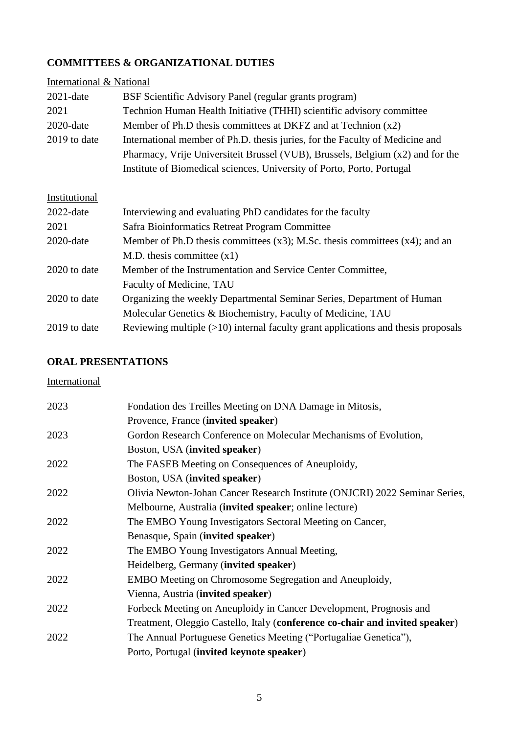## **COMMITTEES & ORGANIZATIONAL DUTIES**

| International & National |                                                                                     |
|--------------------------|-------------------------------------------------------------------------------------|
| $2021$ -date             | BSF Scientific Advisory Panel (regular grants program)                              |
| 2021                     | Technion Human Health Initiative (THHI) scientific advisory committee               |
| $2020$ -date             | Member of Ph.D thesis committees at DKFZ and at Technion $(x2)$                     |
| 2019 to date             | International member of Ph.D. thesis juries, for the Faculty of Medicine and        |
|                          | Pharmacy, Vrije Universiteit Brussel (VUB), Brussels, Belgium (x2) and for the      |
|                          | Institute of Biomedical sciences, University of Porto, Porto, Portugal              |
|                          |                                                                                     |
| Institutional            |                                                                                     |
| $2022$ -date             | Interviewing and evaluating PhD candidates for the faculty                          |
| 2021                     | Safra Bioinformatics Retreat Program Committee                                      |
| $2020$ -date             | Member of Ph.D thesis committees $(x3)$ ; M.Sc. thesis committees $(x4)$ ; and an   |
|                          | M.D. thesis committee $(x1)$                                                        |
| 2020 to date             | Member of the Instrumentation and Service Center Committee,                         |
|                          | Faculty of Medicine, TAU                                                            |
| 2020 to date             | Organizing the weekly Departmental Seminar Series, Department of Human              |
|                          | Molecular Genetics & Biochemistry, Faculty of Medicine, TAU                         |
| 2019 to date             | Reviewing multiple $(>10)$ internal faculty grant applications and thesis proposals |

## **ORAL PRESENTATIONS**

## **International**

| 2023 | Fondation des Treilles Meeting on DNA Damage in Mitosis,                     |
|------|------------------------------------------------------------------------------|
|      | Provence, France (invited speaker)                                           |
| 2023 | Gordon Research Conference on Molecular Mechanisms of Evolution,             |
|      | Boston, USA (invited speaker)                                                |
| 2022 | The FASEB Meeting on Consequences of Aneuploidy,                             |
|      | Boston, USA (invited speaker)                                                |
| 2022 | Olivia Newton-Johan Cancer Research Institute (ONJCRI) 2022 Seminar Series,  |
|      | Melbourne, Australia (invited speaker; online lecture)                       |
| 2022 | The EMBO Young Investigators Sectoral Meeting on Cancer,                     |
|      | Benasque, Spain (invited speaker)                                            |
| 2022 | The EMBO Young Investigators Annual Meeting,                                 |
|      | Heidelberg, Germany (invited speaker)                                        |
| 2022 | <b>EMBO</b> Meeting on Chromosome Segregation and Aneuploidy,                |
|      | Vienna, Austria (invited speaker)                                            |
| 2022 | Forbeck Meeting on Aneuploidy in Cancer Development, Prognosis and           |
|      | Treatment, Oleggio Castello, Italy (conference co-chair and invited speaker) |
| 2022 | The Annual Portuguese Genetics Meeting ("Portugaliae Genetica"),             |
|      | Porto, Portugal (invited keynote speaker)                                    |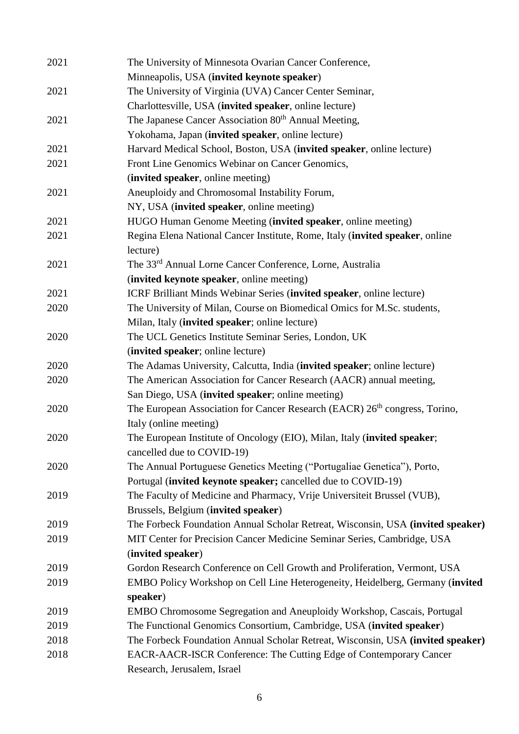| 2021 | The University of Minnesota Ovarian Cancer Conference,                                 |
|------|----------------------------------------------------------------------------------------|
|      | Minneapolis, USA (invited keynote speaker)                                             |
| 2021 | The University of Virginia (UVA) Cancer Center Seminar,                                |
|      | Charlottesville, USA (invited speaker, online lecture)                                 |
| 2021 | The Japanese Cancer Association 80 <sup>th</sup> Annual Meeting,                       |
|      | Yokohama, Japan (invited speaker, online lecture)                                      |
| 2021 | Harvard Medical School, Boston, USA (invited speaker, online lecture)                  |
| 2021 | Front Line Genomics Webinar on Cancer Genomics,                                        |
|      | (invited speaker, online meeting)                                                      |
| 2021 | Aneuploidy and Chromosomal Instability Forum,                                          |
|      | NY, USA (invited speaker, online meeting)                                              |
| 2021 | HUGO Human Genome Meeting (invited speaker, online meeting)                            |
| 2021 | Regina Elena National Cancer Institute, Rome, Italy (invited speaker, online           |
|      | lecture)                                                                               |
| 2021 | The 33rd Annual Lorne Cancer Conference, Lorne, Australia                              |
|      | (invited keynote speaker, online meeting)                                              |
| 2021 | ICRF Brilliant Minds Webinar Series (invited speaker, online lecture)                  |
| 2020 | The University of Milan, Course on Biomedical Omics for M.Sc. students,                |
|      | Milan, Italy (invited speaker; online lecture)                                         |
| 2020 | The UCL Genetics Institute Seminar Series, London, UK                                  |
|      | (invited speaker; online lecture)                                                      |
| 2020 | The Adamas University, Calcutta, India (invited speaker; online lecture)               |
| 2020 | The American Association for Cancer Research (AACR) annual meeting,                    |
|      | San Diego, USA (invited speaker; online meeting)                                       |
| 2020 | The European Association for Cancer Research (EACR) 26 <sup>th</sup> congress, Torino, |
|      | Italy (online meeting)                                                                 |
| 2020 | The European Institute of Oncology (EIO), Milan, Italy (invited speaker;               |
|      | cancelled due to COVID-19)                                                             |
| 2020 | The Annual Portuguese Genetics Meeting ("Portugaliae Genetica"), Porto,                |
|      | Portugal (invited keynote speaker; cancelled due to COVID-19)                          |
| 2019 | The Faculty of Medicine and Pharmacy, Vrije Universiteit Brussel (VUB),                |
|      | Brussels, Belgium (invited speaker)                                                    |
| 2019 | The Forbeck Foundation Annual Scholar Retreat, Wisconsin, USA (invited speaker)        |
| 2019 | MIT Center for Precision Cancer Medicine Seminar Series, Cambridge, USA                |
|      | (invited speaker)                                                                      |
| 2019 | Gordon Research Conference on Cell Growth and Proliferation, Vermont, USA              |
| 2019 | EMBO Policy Workshop on Cell Line Heterogeneity, Heidelberg, Germany (invited          |
|      | speaker)                                                                               |
| 2019 | EMBO Chromosome Segregation and Aneuploidy Workshop, Cascais, Portugal                 |
| 2019 | The Functional Genomics Consortium, Cambridge, USA (invited speaker)                   |
| 2018 | The Forbeck Foundation Annual Scholar Retreat, Wisconsin, USA (invited speaker)        |
| 2018 | EACR-AACR-ISCR Conference: The Cutting Edge of Contemporary Cancer                     |
|      | Research, Jerusalem, Israel                                                            |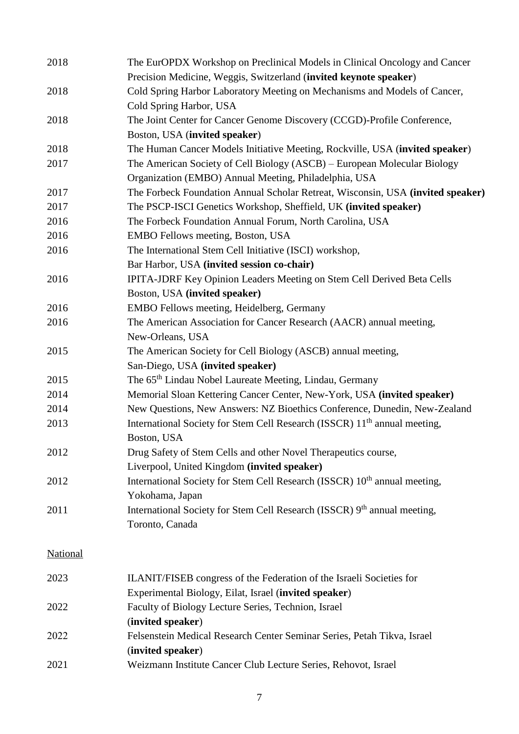| 2018            | The EurOPDX Workshop on Preclinical Models in Clinical Oncology and Cancer            |
|-----------------|---------------------------------------------------------------------------------------|
|                 | Precision Medicine, Weggis, Switzerland (invited keynote speaker)                     |
| 2018            | Cold Spring Harbor Laboratory Meeting on Mechanisms and Models of Cancer,             |
|                 | Cold Spring Harbor, USA                                                               |
| 2018            | The Joint Center for Cancer Genome Discovery (CCGD)-Profile Conference,               |
|                 | Boston, USA (invited speaker)                                                         |
| 2018            | The Human Cancer Models Initiative Meeting, Rockville, USA (invited speaker)          |
| 2017            | The American Society of Cell Biology (ASCB) – European Molecular Biology              |
|                 | Organization (EMBO) Annual Meeting, Philadelphia, USA                                 |
| 2017            | The Forbeck Foundation Annual Scholar Retreat, Wisconsin, USA (invited speaker)       |
| 2017            | The PSCP-ISCI Genetics Workshop, Sheffield, UK (invited speaker)                      |
| 2016            | The Forbeck Foundation Annual Forum, North Carolina, USA                              |
| 2016            | EMBO Fellows meeting, Boston, USA                                                     |
| 2016            | The International Stem Cell Initiative (ISCI) workshop,                               |
|                 | Bar Harbor, USA (invited session co-chair)                                            |
| 2016            | IPITA-JDRF Key Opinion Leaders Meeting on Stem Cell Derived Beta Cells                |
|                 | Boston, USA (invited speaker)                                                         |
| 2016            | EMBO Fellows meeting, Heidelberg, Germany                                             |
| 2016            | The American Association for Cancer Research (AACR) annual meeting,                   |
|                 | New-Orleans, USA                                                                      |
| 2015            | The American Society for Cell Biology (ASCB) annual meeting,                          |
|                 | San-Diego, USA (invited speaker)                                                      |
| 2015            | The 65 <sup>th</sup> Lindau Nobel Laureate Meeting, Lindau, Germany                   |
| 2014            | Memorial Sloan Kettering Cancer Center, New-York, USA (invited speaker)               |
| 2014            | New Questions, New Answers: NZ Bioethics Conference, Dunedin, New-Zealand             |
| 2013            | International Society for Stem Cell Research (ISSCR) 11 <sup>th</sup> annual meeting, |
|                 | Boston, USA                                                                           |
| 2012            | Drug Safety of Stem Cells and other Novel Therapeutics course,                        |
|                 | Liverpool, United Kingdom (invited speaker)                                           |
| 2012            | International Society for Stem Cell Research (ISSCR) 10 <sup>th</sup> annual meeting, |
|                 | Yokohama, Japan                                                                       |
| 2011            | International Society for Stem Cell Research (ISSCR) 9th annual meeting,              |
|                 | Toronto, Canada                                                                       |
|                 |                                                                                       |
| <b>National</b> |                                                                                       |
|                 |                                                                                       |
| 2023            | ILANIT/FISEB congress of the Federation of the Israeli Societies for                  |
|                 | Experimental Biology, Eilat, Israel (invited speaker)                                 |
| 2022            | Faculty of Biology Lecture Series, Technion, Israel                                   |
|                 | (invited speaker)                                                                     |
| 2022            | Felsenstein Medical Research Center Seminar Series, Petah Tikva, Israel               |
|                 | (invited speaker)                                                                     |
| 2021            | Weizmann Institute Cancer Club Lecture Series, Rehovot, Israel                        |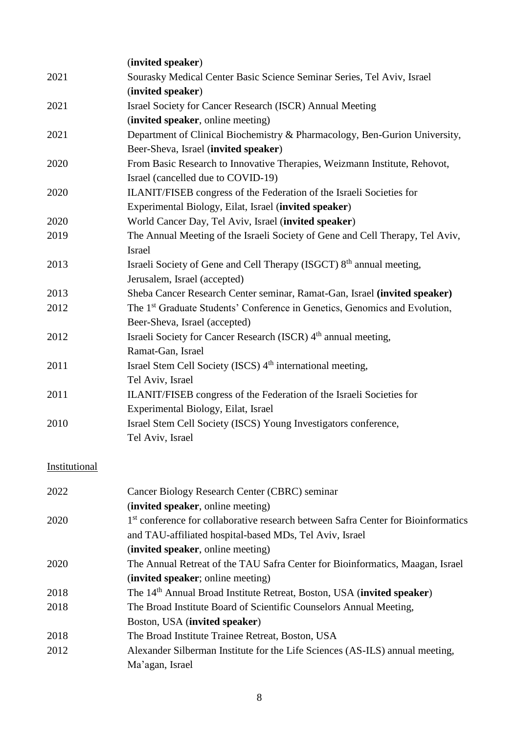|               | (invited speaker)                                                                             |
|---------------|-----------------------------------------------------------------------------------------------|
| 2021          | Sourasky Medical Center Basic Science Seminar Series, Tel Aviv, Israel                        |
|               | (invited speaker)                                                                             |
| 2021          | Israel Society for Cancer Research (ISCR) Annual Meeting                                      |
|               | (invited speaker, online meeting)                                                             |
| 2021          | Department of Clinical Biochemistry & Pharmacology, Ben-Gurion University,                    |
|               | Beer-Sheva, Israel (invited speaker)                                                          |
| 2020          | From Basic Research to Innovative Therapies, Weizmann Institute, Rehovot,                     |
|               | Israel (cancelled due to COVID-19)                                                            |
| 2020          | ILANIT/FISEB congress of the Federation of the Israeli Societies for                          |
|               | Experimental Biology, Eilat, Israel (invited speaker)                                         |
| 2020          | World Cancer Day, Tel Aviv, Israel (invited speaker)                                          |
| 2019          | The Annual Meeting of the Israeli Society of Gene and Cell Therapy, Tel Aviv,                 |
|               | Israel                                                                                        |
| 2013          | Israeli Society of Gene and Cell Therapy (ISGCT) 8 <sup>th</sup> annual meeting,              |
|               | Jerusalem, Israel (accepted)                                                                  |
| 2013          | Sheba Cancer Research Center seminar, Ramat-Gan, Israel (invited speaker)                     |
| 2012          | The 1 <sup>st</sup> Graduate Students' Conference in Genetics, Genomics and Evolution,        |
|               | Beer-Sheva, Israel (accepted)                                                                 |
| 2012          | Israeli Society for Cancer Research (ISCR) 4 <sup>th</sup> annual meeting,                    |
|               | Ramat-Gan, Israel                                                                             |
| 2011          | Israel Stem Cell Society (ISCS) 4 <sup>th</sup> international meeting,                        |
|               | Tel Aviv, Israel                                                                              |
| 2011          | ILANIT/FISEB congress of the Federation of the Israeli Societies for                          |
|               | Experimental Biology, Eilat, Israel                                                           |
| 2010          | Israel Stem Cell Society (ISCS) Young Investigators conference,                               |
|               | Tel Aviv, Israel                                                                              |
|               |                                                                                               |
| Institutional |                                                                                               |
|               |                                                                                               |
| 2022          | Cancer Biology Research Center (CBRC) seminar                                                 |
|               | (invited speaker, online meeting)                                                             |
| 2020          | 1 <sup>st</sup> conference for collaborative research between Safra Center for Bioinformatics |
|               | and TAU-affiliated hospital-based MDs, Tel Aviv, Israel                                       |
|               | (invited speaker, online meeting)                                                             |
| 2020          | The Annual Retreat of the TAU Safra Center for Bioinformatics, Maagan, Israel                 |
|               | (invited speaker; online meeting)                                                             |
| 2018          | The 14 <sup>th</sup> Annual Broad Institute Retreat, Boston, USA (invited speaker)            |
| 2018          | The Broad Institute Board of Scientific Counselors Annual Meeting,                            |

- Boston, USA (**invited speaker**)
- 2018 The Broad Institute Trainee Retreat, Boston, USA
- 2012 Alexander Silberman Institute for the Life Sciences (AS-ILS) annual meeting, Ma'agan, Israel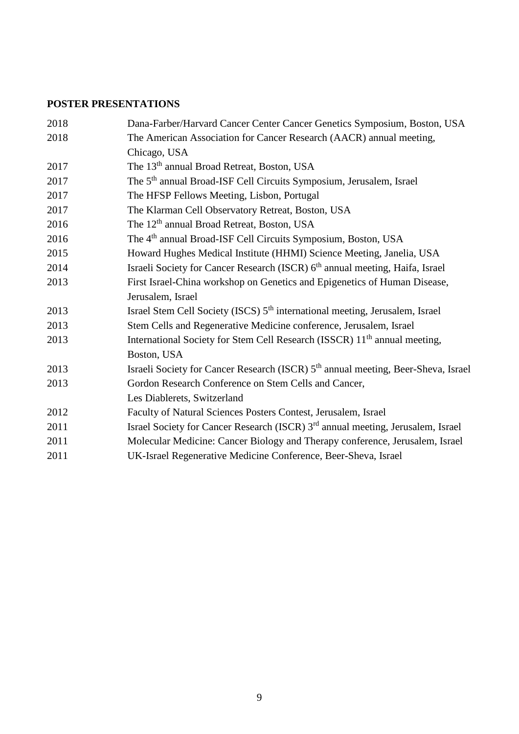# **POSTER PRESENTATIONS**

| 2018 | Dana-Farber/Harvard Cancer Center Cancer Genetics Symposium, Boston, USA                      |
|------|-----------------------------------------------------------------------------------------------|
| 2018 | The American Association for Cancer Research (AACR) annual meeting,                           |
|      | Chicago, USA                                                                                  |
| 2017 | The 13 <sup>th</sup> annual Broad Retreat, Boston, USA                                        |
| 2017 | The 5 <sup>th</sup> annual Broad-ISF Cell Circuits Symposium, Jerusalem, Israel               |
| 2017 | The HFSP Fellows Meeting, Lisbon, Portugal                                                    |
| 2017 | The Klarman Cell Observatory Retreat, Boston, USA                                             |
| 2016 | The 12 <sup>th</sup> annual Broad Retreat, Boston, USA                                        |
| 2016 | The 4 <sup>th</sup> annual Broad-ISF Cell Circuits Symposium, Boston, USA                     |
| 2015 | Howard Hughes Medical Institute (HHMI) Science Meeting, Janelia, USA                          |
| 2014 | Israeli Society for Cancer Research (ISCR) 6 <sup>th</sup> annual meeting, Haifa, Israel      |
| 2013 | First Israel-China workshop on Genetics and Epigenetics of Human Disease,                     |
|      | Jerusalem, Israel                                                                             |
| 2013 | Israel Stem Cell Society (ISCS) 5 <sup>th</sup> international meeting, Jerusalem, Israel      |
| 2013 | Stem Cells and Regenerative Medicine conference, Jerusalem, Israel                            |
| 2013 | International Society for Stem Cell Research (ISSCR) 11 <sup>th</sup> annual meeting,         |
|      | Boston, USA                                                                                   |
| 2013 | Israeli Society for Cancer Research (ISCR) 5 <sup>th</sup> annual meeting, Beer-Sheva, Israel |
| 2013 | Gordon Research Conference on Stem Cells and Cancer,                                          |
|      | Les Diablerets, Switzerland                                                                   |
| 2012 | Faculty of Natural Sciences Posters Contest, Jerusalem, Israel                                |
| 2011 | Israel Society for Cancer Research (ISCR) 3 <sup>rd</sup> annual meeting, Jerusalem, Israel   |
| 2011 | Molecular Medicine: Cancer Biology and Therapy conference, Jerusalem, Israel                  |
| 2011 | UK-Israel Regenerative Medicine Conference, Beer-Sheva, Israel                                |
|      |                                                                                               |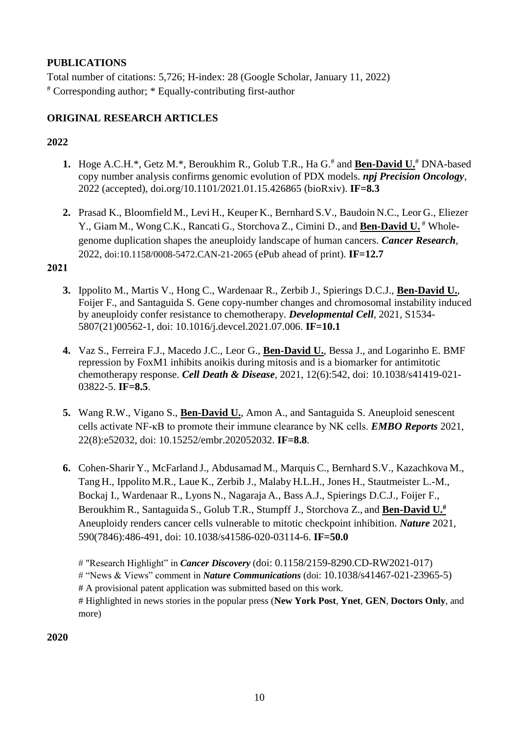## **PUBLICATIONS**

Total number of citations: 5,726; H-index: 28 (Google Scholar, January 11, 2022) # Corresponding author; \* Equally-contributing first-author

## **ORIGINAL RESEARCH ARTICLES**

## **2022**

- **1.** Hoge A.C.H.\*, Getz M.\*, Beroukhim R., Golub T.R., Ha G.<sup>#</sup> and **Ben-David U.**<sup>#</sup> DNA-based copy number analysis confirms genomic evolution of PDX models. *npj Precision Oncology*, 2022 (accepted), doi.org/10.1101/2021.01.15.426865 (bioRxiv). **IF=8.3**
- **2.** Prasad K., Bloomfield M., Levi H., Keuper K., Bernhard S.V., Baudoin N.C., Leor G., Eliezer Y., Giam M., WongC.K., Rancati G., Storchova Z., Cimini D., and **Ben-David U.** # Wholegenome duplication shapes the aneuploidy landscape of human cancers. *Cancer Research*, 2022, doi:10.1158/0008-5472.CAN-21-2065 (ePub ahead of print). **IF=12.7**

## **2021**

- **3.** Ippolito M., Martis V., Hong C., Wardenaar R., Zerbib J., Spierings D.C.J., **Ben-David U.**, Foijer F., and Santaguida S. Gene copy-number changes and chromosomal instability induced by aneuploidy confer resistance to chemotherapy. *Developmental Cell*, 2021, S1534- 5807(21)00562-1, doi: 10.1016/j.devcel.2021.07.006. **IF=10.1**
- **4.** Vaz S., Ferreira F.J., Macedo J.C., Leor G., **Ben-David U.**, Bessa J., and Logarinho E. BMF repression by FoxM1 inhibits anoikis during mitosis and is a biomarker for antimitotic chemotherapy response. *Cell Death & Disease,* 2021, 12(6):542, doi: 10.1038/s41419-021- 03822-5. **IF=8.5**.
- **5.** Wang R.W., Vigano S., **Ben-David U.**, Amon A., and Santaguida S. Aneuploid senescent cells activate NF-κB to promote their immune clearance by NK cells. *EMBO Reports* 2021, 22(8):e52032, doi: 10.15252/embr.202052032. **IF=8.8**.
- **6.** Cohen-Sharir Y., McFarland J., Abdusamad M., Marquis C., Bernhard S.V., Kazachkova M., Tang H., Ippolito M.R., Laue K., Zerbib J., Malaby H.L.H., Jones H., Stautmeister L.-M., Bockaj I., Wardenaar R., Lyons N., Nagaraja A., Bass A.J., Spierings D.C.J., Foijer F., Beroukhim R., Santaguida S., Golub T.R., Stumpff J., Storchova Z., and **Ben-David U.#** Aneuploidy renders cancer cells vulnerable to mitotic checkpoint inhibition. *Nature* 2021, 590(7846):486-491, doi: 10.1038/s41586-020-03114-6. **IF=50.0**

# "Research Highlight" in *Cancer Discovery* (doi: 0.1158/2159-8290.CD-RW2021-017) # "News & Views" comment in *Nature Communications* (doi: 10.1038/s41467-021-23965-5) # A provisional patent application was submitted based on this work. # Highlighted in news stories in the popular press (**New York Post**, **Ynet**, **GEN**, **Doctors Only**, and more)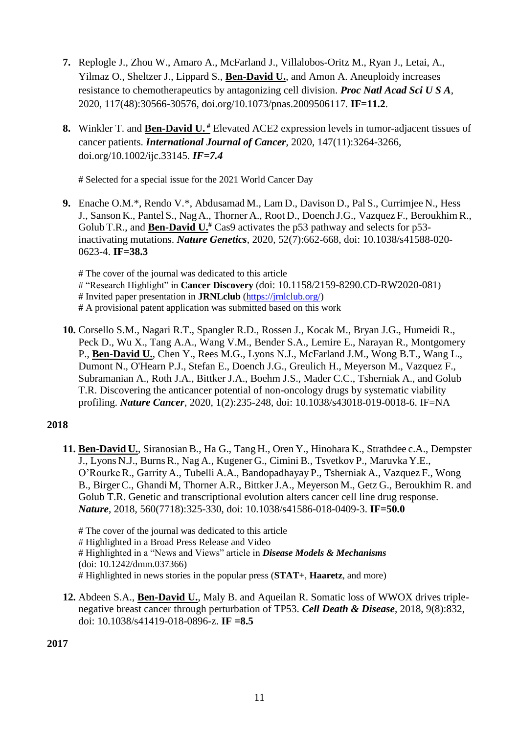- **7.** Replogle J., Zhou W., Amaro A., McFarland J., Villalobos-Oritz M., Ryan J., Letai, A., Yilmaz O., Sheltzer J., Lippard S., **Ben-David U.**, and Amon A. Aneuploidy increases resistance to chemotherapeutics by antagonizing cell division. *Proc Natl Acad Sci U S A*, 2020, 117(48):30566-30576, doi.org/10.1073/pnas.2009506117. **IF=11.2**.
- **8.** Winkler T. and **Ben-David U. #** Elevated ACE2 expression levels in tumor-adjacent tissues of cancer patients. *International Journal of Cancer*, 2020, 147(11):3264-3266, doi.org/10.1002/ijc.33145. *IF=7.4*

# Selected for a special issue for the 2021 World Cancer Day

**9.** Enache O.M.\*, Rendo V.\*, Abdusamad M., Lam D., Davison D., Pal S., Currimjee N., Hess J., Sanson K., Pantel S., Nag A., Thorner A., Root D., Doench J.G., Vazquez F., Beroukhim R., Golub T.R., and **Ben-David U.#** Cas9 activates the p53 pathway and selects for p53 inactivating mutations. *Nature Genetics*, 2020, 52(7):662-668, doi: 10.1038/s41588-020- 0623-4. **IF=38.3**

# The cover of the journal was dedicated to this article # "Research Highlight" in **Cancer Discovery** (doi: 10.1158/2159-8290.CD-RW2020-081) # Invited paper presentation in **JRNLclub** [\(https://jrnlclub.org/\)](https://jrnlclub.org/) # A provisional patent application was submitted based on this work

**10.** Corsello S.M., Nagari R.T., Spangler R.D., Rossen J., Kocak M., Bryan J.G., Humeidi R., Peck D., Wu X., Tang A.A., Wang V.M., Bender S.A., Lemire E., Narayan R., Montgomery P., **Ben-David U.**, Chen Y., Rees M.G., Lyons N.J., McFarland J.M., Wong B.T., Wang L., Dumont N., O'Hearn P.J., Stefan E., Doench J.G., Greulich H., Meyerson M., Vazquez F., Subramanian A., Roth J.A., Bittker J.A., Boehm J.S., Mader C.C., Tsherniak A., and Golub T.R. Discovering the anticancer potential of non-oncology drugs by systematic viability profiling. *Nature Cancer*, 2020, 1(2):235-248, doi: 10.1038/s43018-019-0018-6. IF=NA

## **2018**

**11. Ben-David U.**, Siranosian B., Ha G., Tang H., Oren Y., Hinohara K., Strathdee c.A., Dempster J., Lyons N.J., Burns R., Nag A., Kugener G., Cimini B., Tsvetkov P., Maruvka Y.E., O'RourkeR., Garrity A., Tubelli A.A., Bandopadhayay P., Tsherniak A., Vazquez F., Wong B., Birger C., Ghandi M, Thorner A.R., BittkerJ.A., Meyerson M., Getz G., Beroukhim R. and Golub T.R. Genetic and transcriptional evolution alters cancer cell line drug response. *Nature*, 2018, 560(7718):325-330, doi: 10.1038/s41586-018-0409-3. **IF=50.0**

# The cover of the journal was dedicated to this article # Highlighted in a Broad Press Release and Video # Highlighted in a "News and Views" article in *Disease Models & Mechanisms* (doi: 10.1242/dmm.037366) # Highlighted in news stories in the popular press (**STAT+**, **Haaretz**, and more)

**12.** Abdeen S.A., **Ben-David U.**, Maly B. and Aqueilan R. Somatic loss of WWOX drives triplenegative breast cancer through perturbation of TP53. *Cell Death & Disease*, 2018, 9(8):832, doi: 10.1038/s41419-018-0896-z. **IF =8.5**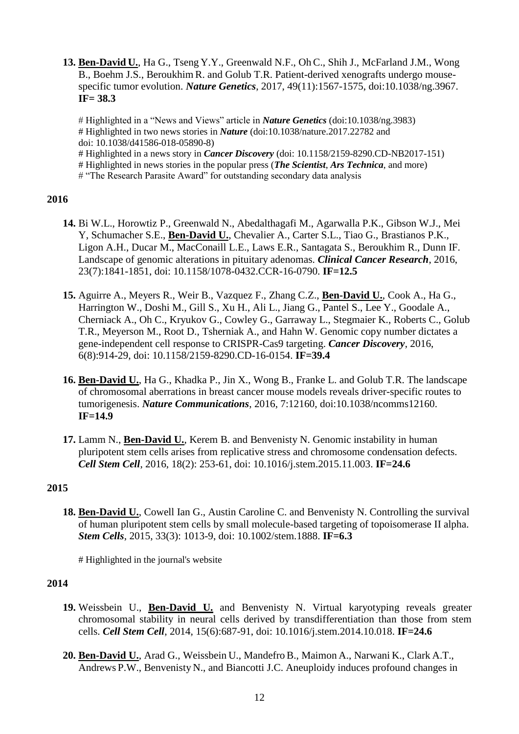**13. Ben-David U.**, Ha G., Tseng Y.Y., Greenwald N.F., Oh C., Shih J., McFarland J.M., Wong B., Boehm J.S., Beroukhim R. and Golub T.R. Patient-derived xenografts undergo mousespecific tumor evolution. *Nature Genetics*, 2017, 49(11):1567-1575, doi:10.1038/ng.3967. **IF= 38.3**

# Highlighted in a "News and Views" article in *Nature Genetics* (doi:10.1038/ng.3983) # Highlighted in two news stories in *Nature* (doi:10.1038/nature.2017.22782 and doi: 10.1038/d41586-018-05890-8)

# Highlighted in a news story in *Cancer Discovery* (doi: 10.1158/2159-8290.CD-NB2017-151)

# Highlighted in news stories in the popular press (*The Scientist*, *Ars Technica*, and more)

# "The Research Parasite Award" for outstanding secondary data analysis

## **2016**

- **14.** Bi W.L., Horowtiz P., Greenwald N., Abedalthagafi M., Agarwalla P.K., Gibson W.J., Mei Y, Schumacher S.E., **Ben-David U.**, Chevalier A., Carter S.L., Tiao G., Brastianos P.K., Ligon A.H., Ducar M., MacConaill L.E., Laws E.R., Santagata S., Beroukhim R., Dunn IF. Landscape of genomic alterations in pituitary adenomas. *Clinical Cancer Research*, 2016, 23(7):1841-1851, doi: 10.1158/1078-0432.CCR-16-0790. **IF=12.5**
- **15.** Aguirre A., Meyers R., Weir B., Vazquez F., Zhang C.Z., **Ben-David U.**, Cook A., Ha G., Harrington W., Doshi M., Gill S., Xu H., Ali L., Jiang G., Pantel S., Lee Y., Goodale A., Cherniack A., Oh C., Kryukov G., Cowley G., Garraway L., Stegmaier K., Roberts C., Golub T.R., Meyerson M., Root D., Tsherniak A., and Hahn W. Genomic copy number dictates a gene-independent cell response to CRISPR-Cas9 targeting. *Cancer Discovery*, 2016, 6(8):914-29, doi: 10.1158/2159-8290.CD-16-0154. **IF=39.4**
- **16. Ben-David U.**, Ha G., Khadka P., Jin X., Wong B., Franke L. and Golub T.R. The landscape of chromosomal aberrations in breast cancer mouse models reveals driver-specific routes to tumorigenesis. *Nature Communications*, 2016, 7:12160, doi:10.1038/ncomms12160. **IF=14.9**
- **17.** Lamm N., **Ben-David U.**, Kerem B. and Benvenisty N. Genomic instability in human pluripotent stem cells arises from replicative stress and chromosome condensation defects. *Cell Stem Cell*, 2016, 18(2): 253-61, doi: 10.1016/j.stem.2015.11.003. **IF=24.6**

## **2015**

**18. Ben-David U.**, Cowell Ian G., Austin Caroline C. and Benvenisty N. Controlling the survival of human pluripotent stem cells by small molecule-based targeting of topoisomerase II alpha. *Stem Cells*, 2015, 33(3): 1013-9, doi: 10.1002/stem.1888. **IF=6.3**

# Highlighted in the journal's website

- **19.** Weissbein U., **Ben-David U.** and Benvenisty N. Virtual karyotyping reveals greater chromosomal stability in neural cells derived by transdifferentiation than those from stem cells. *Cell Stem Cell*, 2014, 15(6):687-91, doi: 10.1016/j.stem.2014.10.018. **IF=24.6**
- **20. Ben-David U.**, Arad G., Weissbein U., Mandefro B., Maimon A., Narwani K., Clark A.T., Andrews P.W., Benvenisty N., and Biancotti J.C. Aneuploidy induces profound changes in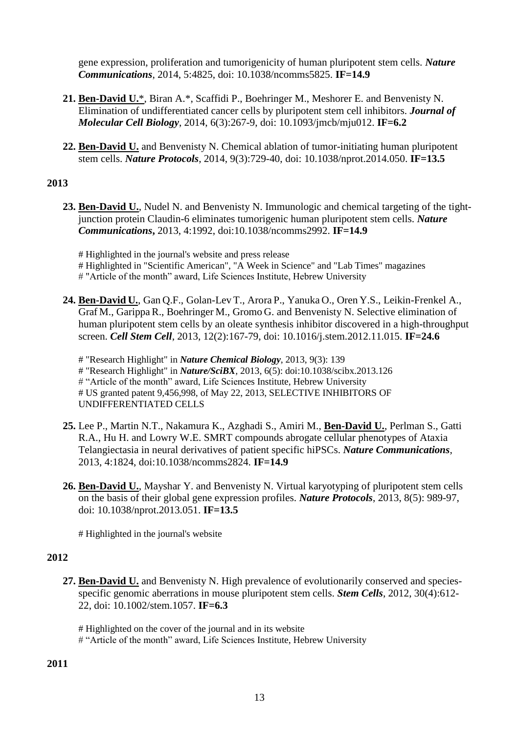gene expression, proliferation and tumorigenicity of human pluripotent stem cells. *Nature Communications*, 2014, 5:4825, doi: 10.1038/ncomms5825. **IF=14.9**

- **21. Ben-David U.**\*, Biran A.\*, Scaffidi P., Boehringer M., Meshorer E. and Benvenisty N. Elimination of undifferentiated cancer cells by pluripotent stem cell inhibitors. *Journal of Molecular Cell Biology*, 2014, 6(3):267-9, doi: 10.1093/jmcb/mju012. **IF=6.2**
- **22. Ben-David U.** and Benvenisty N. Chemical ablation of tumor-initiating human pluripotent stem cells. *Nature Protocols*, 2014, 9(3):729-40, doi: 10.1038/nprot.2014.050. **IF=13.5**

## **2013**

- **23. Ben-David U.**, Nudel N. and Benvenisty N. Immunologic and chemical targeting of the tightjunction protein Claudin-6 eliminates tumorigenic human pluripotent stem cells. *Nature Communications***,** 2013, 4:1992, doi:10.1038/ncomms2992. **IF=14.9**
	- # Highlighted in the journal's website and press release
	- # Highlighted in "Scientific American", "A Week in Science" and "Lab Times" magazines
	- # "Article of the month" award, Life Sciences Institute, Hebrew University
- **24. Ben-David U.**, Gan Q.F., Golan-Lev T., Arora P., Yanuka O., Oren Y.S., Leikin-Frenkel A., Graf M., GarippaR., Boehringer M., Gromo G. and Benvenisty N. Selective elimination of human pluripotent stem cells by an oleate synthesis inhibitor discovered in a high-throughput screen. *Cell Stem Cell*, 2013, 12(2):167-79, doi: 10.1016/j.stem.2012.11.015. **IF=24.6**
	- # "Research Highlight" in *Nature Chemical Biology*, 2013, 9(3): 139 # "Research Highlight" in *Nature/SciBX,* 2013, 6(5): doi:10.1038/scibx.2013.126 # "Article of the month" award, Life Sciences Institute, Hebrew University # US granted patent 9,456,998, of May 22, 2013, SELECTIVE INHIBITORS OF UNDIFFERENTIATED CELLS
- **25.** Lee P., Martin N.T., Nakamura K., Azghadi S., Amiri M., **Ben-David U.**, Perlman S., Gatti R.A., Hu H. and Lowry W.E. SMRT compounds abrogate cellular phenotypes of Ataxia Telangiectasia in neural derivatives of patient specific hiPSCs. *Nature Communications*, 2013, 4:1824, doi:10.1038/ncomms2824. **IF=14.9**
- **26. Ben-David U.**, Mayshar Y. and Benvenisty N. Virtual karyotyping of pluripotent stem cells on the basis of their global gene expression profiles. *Nature Protocols*, 2013, 8(5): 989-97, doi: 10.1038/nprot.2013.051. **IF=13.5**

# Highlighted in the journal's website

- **27. Ben-David U.** and Benvenisty N. High prevalence of evolutionarily conserved and speciesspecific genomic aberrations in mouse pluripotent stem cells. *Stem Cells*, 2012, 30(4):612- 22, doi: 10.1002/stem.1057. **IF=6.3**
	- # Highlighted on the cover of the journal and in its website # "Article of the month" award, Life Sciences Institute, Hebrew University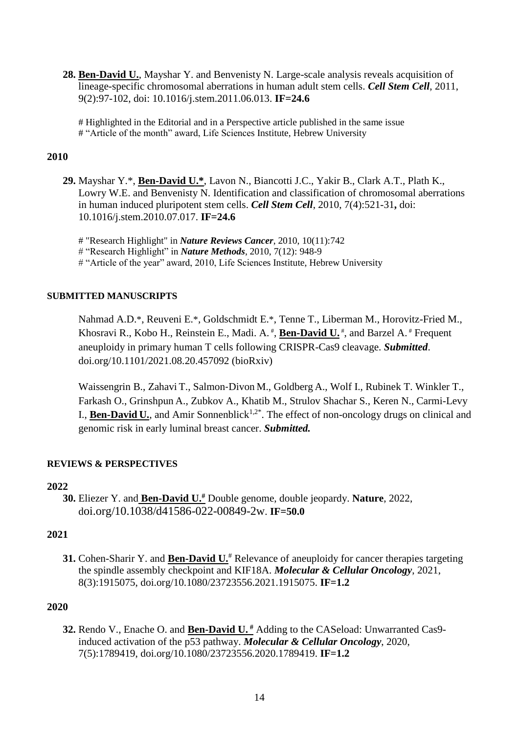**28. Ben-David U.**, Mayshar Y. and Benvenisty N. Large-scale analysis reveals acquisition of lineage-specific chromosomal aberrations in human adult stem cells. *Cell Stem Cell*, 2011, 9(2):97-102, doi: 10.1016/j.stem.2011.06.013. **IF=24.6**

# Highlighted in the Editorial and in a Perspective article published in the same issue # "Article of the month" award, Life Sciences Institute, Hebrew University

#### **2010**

- **29.** Mayshar Y.\*, **Ben-David U.\***, Lavon N., Biancotti J.C., Yakir B., Clark A.T., Plath K., Lowry W.E. and Benvenisty N. Identification and classification of chromosomal aberrations in human induced pluripotent stem cells. *Cell Stem Cell*, 2010, 7(4):521-31**,** doi: 10.1016/j.stem.2010.07.017. **IF=24.6**
	- # "Research Highlight" in *Nature Reviews Cancer*, 2010, 10(11):742 # "Research Highlight" in *Nature Methods*, 2010, 7(12): 948-9 # "Article of the year" award, 2010, Life Sciences Institute, Hebrew University

#### **SUBMITTED MANUSCRIPTS**

Nahmad A.D.\*, Reuveni E.\*, Goldschmidt E.\*, Tenne T., Liberman M., Horovitz-Fried M., Khosravi R., Kobo H., Reinstein E., Madi. A.<sup>#</sup>, **Ben-David U.**<sup>#</sup>, and Barzel A.<sup>#</sup> Frequent aneuploidy in primary human T cells following CRISPR-Cas9 cleavage. *Submitted*. doi.org/10.1101/2021.08.20.457092 (bioRxiv)

Waissengrin B., Zahavi T., Salmon‐Divon M., Goldberg A., Wolf I., Rubinek T. Winkler T., Farkash O., Grinshpun A., Zubkov A., Khatib M., Strulov Shachar S., Keren N., Carmi-Levy I., **Ben-David U.**, and Amir Sonnenblick<sup>1,2\*</sup>. The effect of non-oncology drugs on clinical and genomic risk in early luminal breast cancer. *Submitted.*

## **REVIEWS & PERSPECTIVES**

#### **2022**

**30.** Eliezer Y. and **Ben-David U.#** Double genome, double jeopardy. **Nature**, 2022, doi.org/10.1038/d41586-022-00849-2w. **IF=50.0**

## **2021**

**31.** Cohen-Sharir Y. and **Ben-David U.**# Relevance of aneuploidy for cancer therapies targeting the spindle assembly checkpoint and KIF18A. *Molecular & Cellular Oncology*, 2021, 8(3):1915075, doi.org/10.1080/23723556.2021.1915075. **IF=1.2**

#### **2020**

**32.** Rendo V., Enache O. and **Ben-David U. #** Adding to the CASeload: Unwarranted Cas9 induced activation of the p53 pathway. *Molecular & Cellular Oncology*, 2020, 7(5):1789419, doi.org/10.1080/23723556.2020.1789419. **IF=1.2**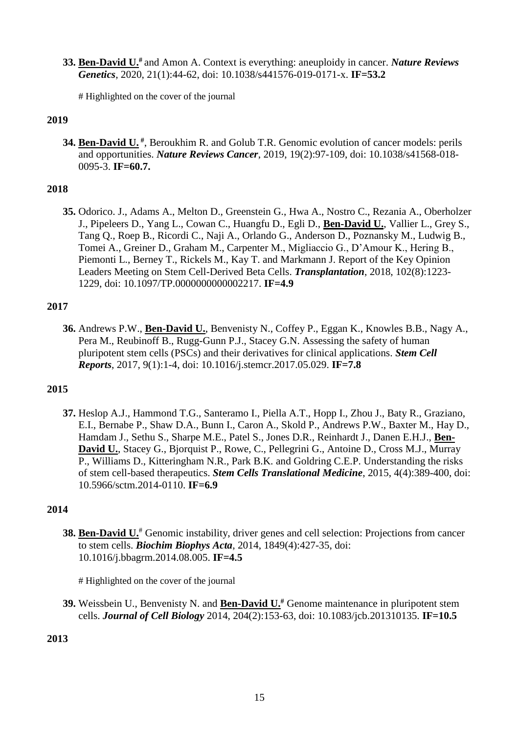**33. Ben-David U.#** and Amon A. Context is everything: aneuploidy in cancer. *Nature Reviews Genetics*, 2020, 21(1):44-62, doi: 10.1038/s441576-019-0171-x. **IF=53.2**

# Highlighted on the cover of the journal

## **2019**

**34. Ben-David U.**<sup>#</sup>, Beroukhim R. and Golub T.R. Genomic evolution of cancer models: perils and opportunities. *Nature Reviews Cancer*, 2019, 19(2):97-109, doi: 10.1038/s41568-018- 0095-3. **IF=60.7.**

## **2018**

**35.** Odorico. J., Adams A., Melton D., Greenstein G., Hwa A., Nostro C., Rezania A., Oberholzer J., Pipeleers D., Yang L., Cowan C., Huangfu D., Egli D., **Ben-David U.**, Vallier L., Grey S., Tang Q., Roep B., Ricordi C., Naji A., Orlando G., Anderson D., Poznansky M., Ludwig B., Tomei A., Greiner D., Graham M., Carpenter M., Migliaccio G., D'Amour K., Hering B., Piemonti L., Berney T., Rickels M., Kay T. and Markmann J. Report of the Key Opinion Leaders Meeting on Stem Cell-Derived Beta Cells. *Transplantation*, 2018, 102(8):1223- 1229, doi: 10.1097/TP.0000000000002217. **IF=4.9**

#### **2017**

**36.** Andrews P.W., **Ben-David U.**, Benvenisty N., Coffey P., Eggan K., Knowles B.B., Nagy A., Pera M., Reubinoff B., Rugg-Gunn P.J., Stacey G.N. Assessing the safety of human pluripotent stem cells (PSCs) and their derivatives for clinical applications. *Stem Cell Reports*, 2017, 9(1):1-4, doi: 10.1016/j.stemcr.2017.05.029. **IF=7.8**

## **2015**

**37.** Heslop A.J., Hammond T.G., Santeramo I., Piella A.T., Hopp I., Zhou J., Baty R., Graziano, E.I., Bernabe P., Shaw D.A., Bunn I., Caron A., Skold P., Andrews P.W., Baxter M., Hay D., Hamdam J., Sethu S., Sharpe M.E., Patel S., Jones D.R., Reinhardt J., Danen E.H.J., **Ben-David U.**, Stacey G., Bjorquist P., Rowe, C., Pellegrini G., Antoine D., Cross M.J., Murray P., Williams D., Kitteringham N.R., Park B.K. and Goldring C.E.P. Understanding the risks of stem cell-based therapeutics. *Stem Cells Translational Medicine*, 2015, 4(4):389-400, doi: 10.5966/sctm.2014-0110. **IF=6.9**

#### **2014**

**38. Ben-David U.**<sup>#</sup> Genomic instability, driver genes and cell selection: Projections from cancer to stem cells. *Biochim Biophys Acta*, 2014, 1849(4):427-35, doi: 10.1016/j.bbagrm.2014.08.005. **IF=4.5**

# Highlighted on the cover of the journal

**39.** Weissbein U., Benvenisty N. and **Ben-David U.#** Genome maintenance in pluripotent stem cells. *Journal of Cell Biology* 2014, 204(2):153-63, doi: 10.1083/jcb.201310135. **IF=10.5**